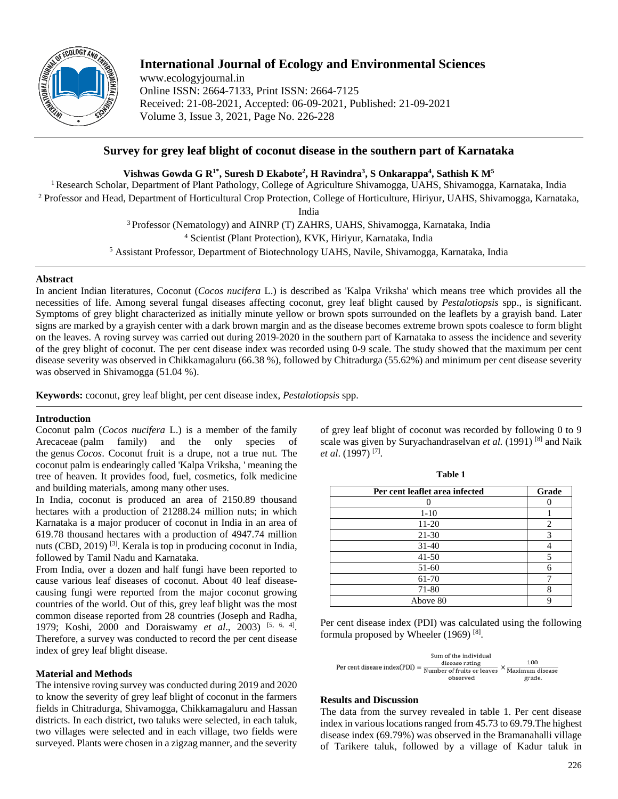

# **International Journal of Ecology and Environmental Sciences**

www.ecologyjournal.in Online ISSN: 2664-7133, Print ISSN: 2664-7125 Received: 21-08-2021, Accepted: 06-09-2021, Published: 21-09-2021 Volume 3, Issue 3, 2021, Page No. 226-228

## **Survey for grey leaf blight of coconut disease in the southern part of Karnataka**

**Vishwas Gowda G R1\* , Suresh D Ekabote2 , H Ravindra3 , S Onkarappa4 , Sathish K M5**

<sup>1</sup> Research Scholar, Department of Plant Pathology, College of Agriculture Shivamogga, UAHS, Shivamogga, Karnataka, India <sup>2</sup> Professor and Head, Department of Horticultural Crop Protection, College of Horticulture, Hiriyur, UAHS, Shivamogga, Karnataka,

India

3 Professor (Nematology) and AINRP (T) ZAHRS, UAHS, Shivamogga, Karnataka, India <sup>4</sup> Scientist (Plant Protection), KVK, Hiriyur, Karnataka, India

<sup>5</sup> Assistant Professor, Department of Biotechnology UAHS, Navile, Shivamogga, Karnataka, India

### **Abstract**

In ancient Indian literatures, Coconut (*Cocos nucifera* L.) is described as 'Kalpa Vriksha' which means tree which provides all the necessities of life. Among several fungal diseases affecting coconut, grey leaf blight caused by *Pestalotiopsis* spp., is significant. Symptoms of grey blight characterized as initially minute yellow or brown spots surrounded on the leaflets by a grayish band. Later signs are marked by a grayish center with a dark brown margin and as the disease becomes extreme brown spots coalesce to form blight on the leaves. A roving survey was carried out during 2019-2020 in the southern part of Karnataka to assess the incidence and severity of the grey blight of coconut. The per cent disease index was recorded using 0-9 scale. The study showed that the maximum per cent disease severity was observed in Chikkamagaluru (66.38 %), followed by Chitradurga (55.62%) and minimum per cent disease severity was observed in Shivamogga (51.04 %).

**Keywords:** coconut, grey leaf blight, per cent disease index, *Pestalotiopsis* spp.

## **Introduction**

Coconut palm (*Cocos nucifera* L.) is a member of the family Arecaceae (palm family) and the only species of the genus *Cocos*. Coconut fruit is a drupe, not a true nut. The coconut palm is endearingly called 'Kalpa Vriksha, ' meaning the tree of heaven. It provides food, fuel, cosmetics, folk medicine and building materials, among many other uses.

In India, coconut is produced an area of 2150.89 thousand hectares with a production of 21288.24 million nuts; in which Karnataka is a major producer of coconut in India in an area of 619.78 thousand hectares with a production of 4947.74 million nuts (CBD, 2019)<sup>[3]</sup>. Kerala is top in producing coconut in India, followed by Tamil Nadu and Karnataka.

From India, over a dozen and half fungi have been reported to cause various leaf diseases of coconut. About 40 leaf diseasecausing fungi were reported from the major coconut growing countries of the world. Out of this, grey leaf blight was the most common disease reported from 28 countries (Joseph and Radha, 1979; Koshi, 2000 and Doraiswamy *et al*., 2003) [5, 6, 4] . Therefore, a survey was conducted to record the per cent disease index of grey leaf blight disease.

## **Material and Methods**

The intensive roving survey was conducted during 2019 and 2020 to know the severity of grey leaf blight of coconut in the farmers fields in Chitradurga, Shivamogga, Chikkamagaluru and Hassan districts. In each district, two taluks were selected, in each taluk, two villages were selected and in each village, two fields were surveyed. Plants were chosen in a zigzag manner, and the severity

of grey leaf blight of coconut was recorded by following 0 to 9 scale was given by Suryachandraselvan *et al.* (1991)<sup>[8]</sup> and Naik *et al*. (1997) [7] .

**Table 1**

| Per cent leaflet area infected | Grade |
|--------------------------------|-------|
|                                |       |
| $1-10$                         |       |
| 11-20                          | 2     |
| $21 - 30$                      | 3     |
| $31 - 40$                      |       |
| $41 - 50$                      | 5     |
| 51-60                          | 6     |
| 61-70                          |       |
| 71-80                          | 8     |
| Above 80                       | O     |

Per cent disease index (PDI) was calculated using the following formula proposed by Wheeler (1969)<sup>[8]</sup>.



#### **Results and Discussion**

The data from the survey revealed in table 1. Per cent disease index in various locations ranged from 45.73 to 69.79.The highest disease index (69.79%) was observed in the Bramanahalli village of Tarikere taluk, followed by a village of Kadur taluk in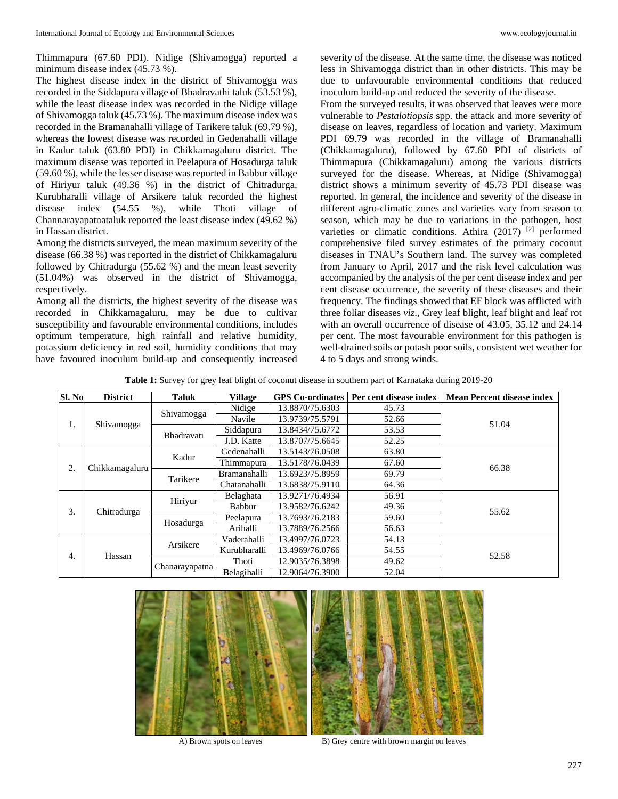Thimmapura (67.60 PDI). Nidige (Shivamogga) reported a minimum disease index (45.73 %).

The highest disease index in the district of Shivamogga was recorded in the Siddapura village of Bhadravathi taluk (53.53 %), while the least disease index was recorded in the Nidige village of Shivamogga taluk (45.73 %). The maximum disease index was recorded in the Bramanahalli village of Tarikere taluk (69.79 %), whereas the lowest disease was recorded in Gedenahalli village in Kadur taluk (63.80 PDI) in Chikkamagaluru district. The maximum disease was reported in Peelapura of Hosadurga taluk (59.60 %), while the lesser disease was reported in Babbur village of Hiriyur taluk (49.36 %) in the district of Chitradurga. Kurubharalli village of Arsikere taluk recorded the highest disease index (54.55 %), while Thoti village of Channarayapatnataluk reported the least disease index (49.62 %) in Hassan district.

Among the districts surveyed, the mean maximum severity of the disease (66.38 %) was reported in the district of Chikkamagaluru followed by Chitradurga (55.62 %) and the mean least severity (51.04%) was observed in the district of Shivamogga, respectively.

Among all the districts, the highest severity of the disease was recorded in Chikkamagaluru, may be due to cultivar susceptibility and favourable environmental conditions, includes optimum temperature, high rainfall and relative humidity, potassium deficiency in red soil, humidity conditions that may have favoured inoculum build-up and consequently increased

severity of the disease. At the same time, the disease was noticed less in Shivamogga district than in other districts. This may be due to unfavourable environmental conditions that reduced inoculum build-up and reduced the severity of the disease.

From the surveyed results, it was observed that leaves were more vulnerable to *Pestalotiopsis* spp. the attack and more severity of disease on leaves, regardless of location and variety. Maximum PDI 69.79 was recorded in the village of Bramanahalli (Chikkamagaluru), followed by 67.60 PDI of districts of Thimmapura (Chikkamagaluru) among the various districts surveyed for the disease. Whereas, at Nidige (Shivamogga) district shows a minimum severity of 45.73 PDI disease was reported. In general, the incidence and severity of the disease in different agro-climatic zones and varieties vary from season to season, which may be due to variations in the pathogen, host varieties or climatic conditions. Athira  $(2017)$ <sup>[2]</sup> performed comprehensive filed survey estimates of the primary coconut diseases in TNAU's Southern land. The survey was completed from January to April, 2017 and the risk level calculation was accompanied by the analysis of the per cent disease index and per cent disease occurrence, the severity of these diseases and their frequency. The findings showed that EF block was afflicted with three foliar diseases *viz*., Grey leaf blight, leaf blight and leaf rot with an overall occurrence of disease of 43.05, 35.12 and 24.14 per cent. The most favourable environment for this pathogen is well-drained soils or potash poor soils, consistent wet weather for 4 to 5 days and strong winds.

**Table 1:** Survey for grey leaf blight of coconut disease in southern part of Karnataka during 2019-20

| Sl. No | <b>District</b> | <b>Taluk</b>   | <b>Village</b>      | <b>GPS</b> Co-ordinates | Per cent disease index | <b>Mean Percent disease index</b> |  |
|--------|-----------------|----------------|---------------------|-------------------------|------------------------|-----------------------------------|--|
| 1.     | Shivamogga      | Shivamogga     | Nidige              | 13.8870/75.6303         | 45.73                  | 51.04                             |  |
|        |                 |                | Navile              | 13.9739/75.5791         | 52.66                  |                                   |  |
|        |                 |                | Bhadravati          | Siddapura               | 13.8434/75.6772        | 53.53                             |  |
|        |                 |                | J.D. Katte          | 13.8707/75.6645         | 52.25                  |                                   |  |
| 2.     | Chikkamagaluru  |                | Kadur               | Gedenahalli             | 13.5143/76.0508        | 63.80                             |  |
|        |                 |                | Thimmapura          | 13.5178/76.0439         | 67.60                  | 66.38                             |  |
|        |                 | Tarikere       | Bramanahalli        | 13.6923/75.8959         | 69.79                  |                                   |  |
|        |                 |                |                     | Chatanahalli            | 13.6838/75.9110        | 64.36                             |  |
| 3.     | Chitradurga     |                | Hiriyur             | Belaghata               | 13.9271/76.4934        | 56.91                             |  |
|        |                 |                | Babbur              | 13.9582/76.6242         | 49.36                  | 55.62                             |  |
|        |                 | Hosadurga      | Peelapura           | 13.7693/76.2183         | 59.60                  |                                   |  |
|        |                 |                | Arihalli            | 13.7889/76.2566         | 56.63                  |                                   |  |
| 4.     | Hassan          | Arsikere       | Vaderahalli         | 13.4997/76.0723         | 54.13                  | 52.58                             |  |
|        |                 |                | Kurubharalli        | 13.4969/76.0766         | 54.55                  |                                   |  |
|        |                 | Chanarayapatna | Thoti               | 12.9035/76.3898         | 49.62                  |                                   |  |
|        |                 |                | <b>B</b> elagihalli | 12.9064/76.3900         | 52.04                  |                                   |  |





A) Brown spots on leaves B) Grey centre with brown margin on leaves